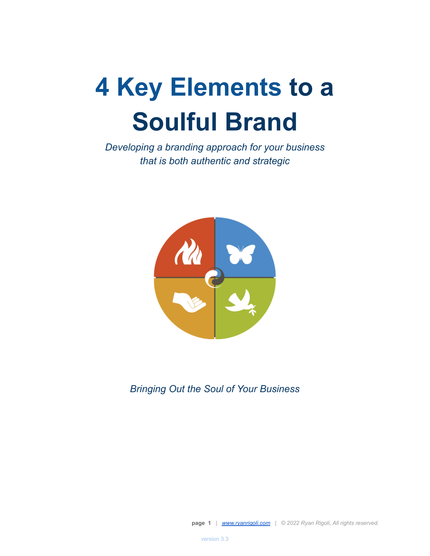# **4 Key Elements to a Soulful Brand**

*Developing a branding approach for your business that is both authentic and strategic*



*Bringing Out the Soul of Your Business*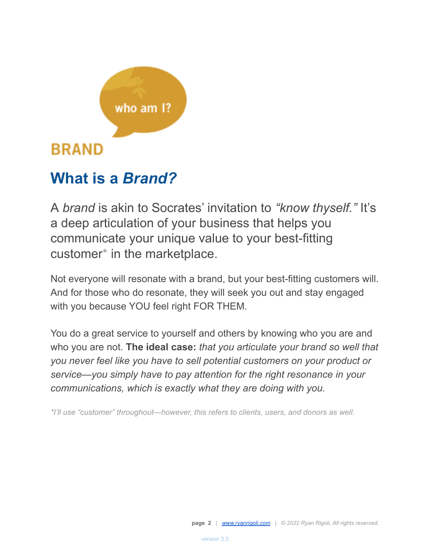

# **What is a** *Brand?*

A *brand* is akin to Socrates' invitation to *"know thyself."* It's a deep articulation of your business that helps you communicate your unique value to your best-fitting customer\* in the marketplace.

Not everyone will resonate with a brand, but your best-fitting customers will. And for those who do resonate, they will seek you out and stay engaged with you because YOU feel right FOR THEM.

You do a great service to yourself and others by knowing who you are and who you are not. **The ideal case:** *that you articulate your brand so well that you never feel like you have to sell potential customers on your product or service—you simply have to pay attention for the right resonance in your communications, which is exactly what they are doing with you.*

*\*I'll use "customer" throughout—however, this refers to clients, users, and donors as well.*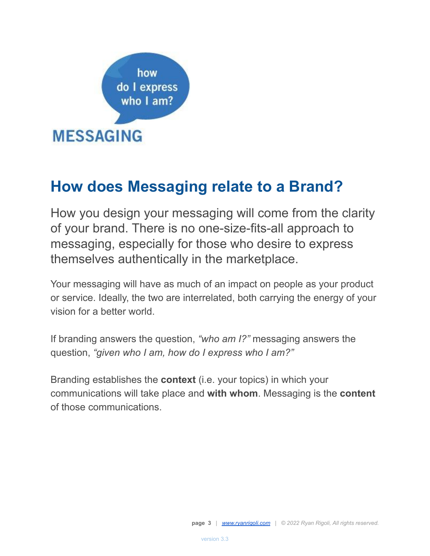

### **How does Messaging relate to a Brand?**

How you design your messaging will come from the clarity of your brand. There is no one-size-fits-all approach to messaging, especially for those who desire to express themselves authentically in the marketplace.

Your messaging will have as much of an impact on people as your product or service. Ideally, the two are interrelated, both carrying the energy of your vision for a better world.

If branding answers the question, *"who am I?"* messaging answers the question, *"given who I am, how do I express who I am?"*

Branding establishes the **context** (i.e. your topics) in which your communications will take place and **with whom**. Messaging is the **content** of those communications.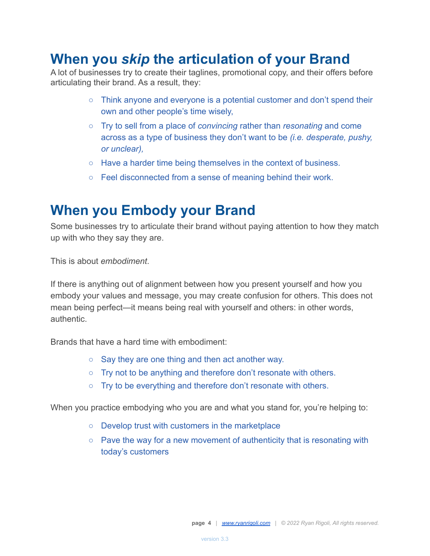### **When you** *skip* **the articulation of your Brand**

A lot of businesses try to create their taglines, promotional copy, and their offers before articulating their brand. As a result, they:

- Think anyone and everyone is a potential customer and don't spend their own and other people's time wisely,
- Try to sell from a place of *convincing* rather than *resonating* and come across as a type of business they don't want to be *(i.e. desperate, pushy, or unclear),*
- Have a harder time being themselves in the context of business.
- Feel disconnected from a sense of meaning behind their work.

### **When you Embody your Brand**

Some businesses try to articulate their brand without paying attention to how they match up with who they say they are.

This is about *embodiment*.

If there is anything out of alignment between how you present yourself and how you embody your values and message, you may create confusion for others. This does not mean being perfect—it means being real with yourself and others: in other words, authentic.

Brands that have a hard time with embodiment:

- Say they are one thing and then act another way.
- Try not to be anything and therefore don't resonate with others.
- Try to be everything and therefore don't resonate with others.

When you practice embodying who you are and what you stand for, you're helping to:

- Develop trust with customers in the marketplace
- Pave the way for a new movement of authenticity that is resonating with today's customers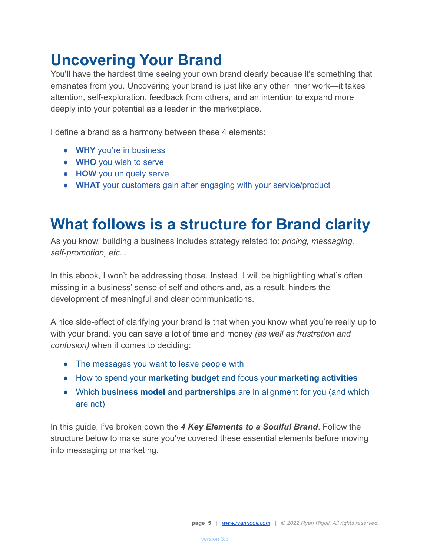### **Uncovering Your Brand**

You'll have the hardest time seeing your own brand clearly because it's something that emanates from you. Uncovering your brand is just like any other inner work—it takes attention, self-exploration, feedback from others, and an intention to expand more deeply into your potential as a leader in the marketplace.

I define a brand as a harmony between these 4 elements:

- **WHY** you're in business
- **WHO** you wish to serve
- **HOW** you uniquely serve
- **WHAT** your customers gain after engaging with your service/product

### **What follows is a structure for Brand clarity**

As you know, building a business includes strategy related to: *pricing, messaging, self-promotion, etc...*

In this ebook, I won't be addressing those. Instead, I will be highlighting what's often missing in a business' sense of self and others and, as a result, hinders the development of meaningful and clear communications.

A nice side-effect of clarifying your brand is that when you know what you're really up to with your brand, you can save a lot of time and money *(as well as frustration and confusion)* when it comes to deciding:

- The messages you want to leave people with
- How to spend your **marketing budget** and focus your **marketing activities**
- Which **business model and partnerships** are in alignment for you (and which are not)

In this guide, I've broken down the *4 Key Elements to a Soulful Brand*. Follow the structure below to make sure you've covered these essential elements before moving into messaging or marketing.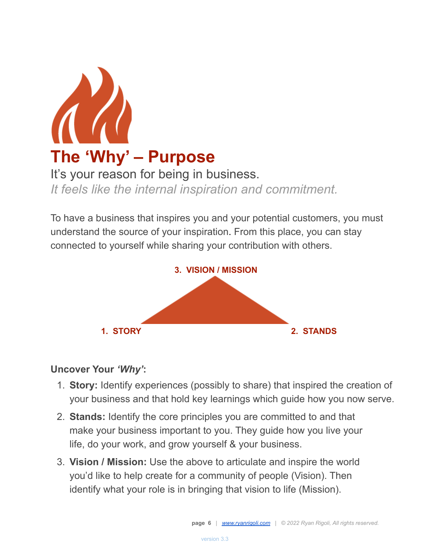

*It feels like the internal inspiration and commitment.*

To have a business that inspires you and your potential customers, you must understand the source of your inspiration. From this place, you can stay connected to yourself while sharing your contribution with others.



#### **Uncover Your** *'Why'***:**

- 1. **Story:** Identify experiences (possibly to share) that inspired the creation of your business and that hold key learnings which guide how you now serve.
- 2. **Stands:** Identify the core principles you are committed to and that make your business important to you. They guide how you live your life, do your work, and grow yourself & your business.
- 3. **Vision / Mission:** Use the above to articulate and inspire the world you'd like to help create for a community of people (Vision). Then identify what your role is in bringing that vision to life (Mission).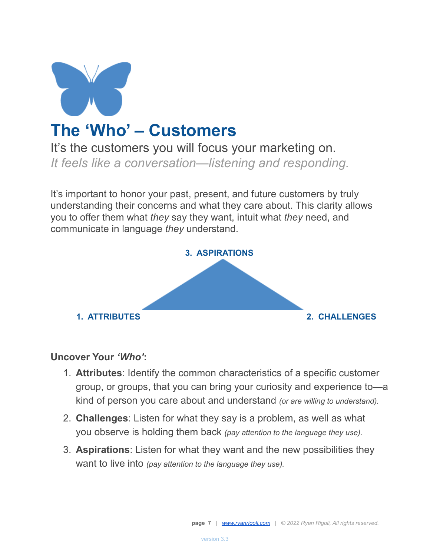

### **The 'Who' – Customers**

It's the customers you will focus your marketing on. *It feels like a conversation—listening and responding.*

It's important to honor your past, present, and future customers by truly understanding their concerns and what they care about. This clarity allows you to offer them what *they* say they want, intuit what *they* need, and communicate in language *they* understand.



#### **Uncover Your** *'Who'***:**

- 1. **Attributes**: Identify the common characteristics of a specific customer group, or groups, that you can bring your curiosity and experience to—a kind of person you care about and understand *(or are willing to understand).*
- 2. **Challenges**: Listen for what they say is a problem, as well as what you observe is holding them back *(pay attention to the language they use).*
- 3. **Aspirations**: Listen for what they want and the new possibilities they want to live into *(pay attention to the language they use).*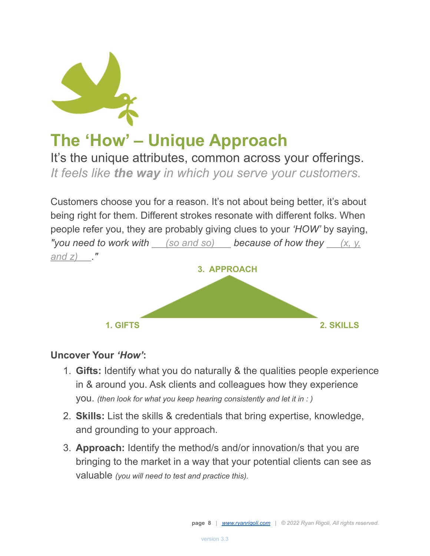

# **The 'How' – Unique Approach**

It's the unique attributes, common across your offerings. *It feels like the way in which you serve your customers.*

Customers choose you for a reason. It's not about being better, it's about being right for them. Different strokes resonate with different folks. When people refer you, they are probably giving clues to your *'HOW'* by saying, *"you need to work with (so and so) because of how they (x, y, and z) ."*



#### **Uncover Your** *'How'***:**

- 1. **Gifts:** Identify what you do naturally & the qualities people experience in & around you. Ask clients and colleagues how they experience you. *(then look for what you keep hearing consistently and let it in : )*
- 2. **Skills:** List the skills & credentials that bring expertise, knowledge, and grounding to your approach.
- 3. **Approach:** Identify the method/s and/or innovation/s that you are bringing to the market in a way that your potential clients can see as valuable *(you will need to test and practice this).*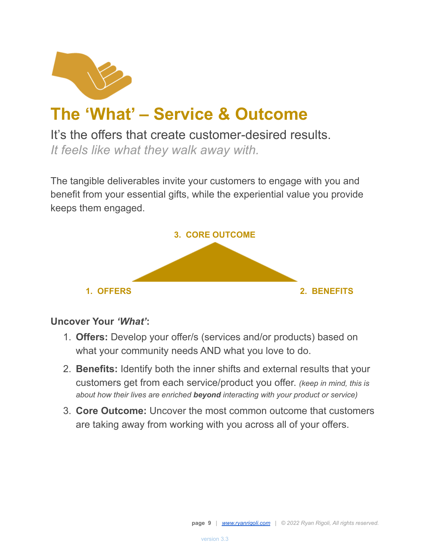

## **The 'What' – Service & Outcome**

It's the offers that create customer-desired results. *It feels like what they walk away with.*

The tangible deliverables invite your customers to engage with you and benefit from your essential gifts, while the experiential value you provide keeps them engaged.



#### **Uncover Your** *'What'***:**

- 1. **Offers:** Develop your offer/s (services and/or products) based on what your community needs AND what you love to do.
- 2. **Benefits:** Identify both the inner shifts and external results that your customers get from each service/product you offer. *(keep in mind, this is about how their lives are enriched beyond interacting with your product or service)*
- 3. **Core Outcome:** Uncover the most common outcome that customers are taking away from working with you across all of your offers.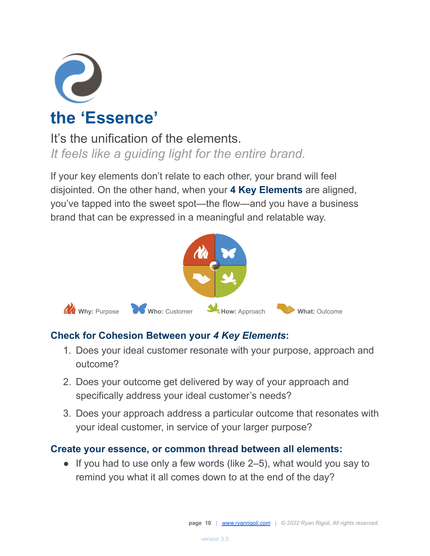

### It's the unification of the elements. *It feels like a guiding light for the entire brand.*

If your key elements don't relate to each other, your brand will feel disjointed. On the other hand, when your **4 Key Elements** are aligned, you've tapped into the sweet spot—the flow—and you have a business brand that can be expressed in a meaningful and relatable way.



#### **Check for Cohesion Between your** *4 Key Elements***:**

- 1. Does your ideal customer resonate with your purpose, approach and outcome?
- 2. Does your outcome get delivered by way of your approach and specifically address your ideal customer's needs?
- 3. Does your approach address a particular outcome that resonates with your ideal customer, in service of your larger purpose?

#### **Create your essence, or common thread between all elements:**

 $\bullet$  If you had to use only a few words (like 2–5), what would you say to remind you what it all comes down to at the end of the day?